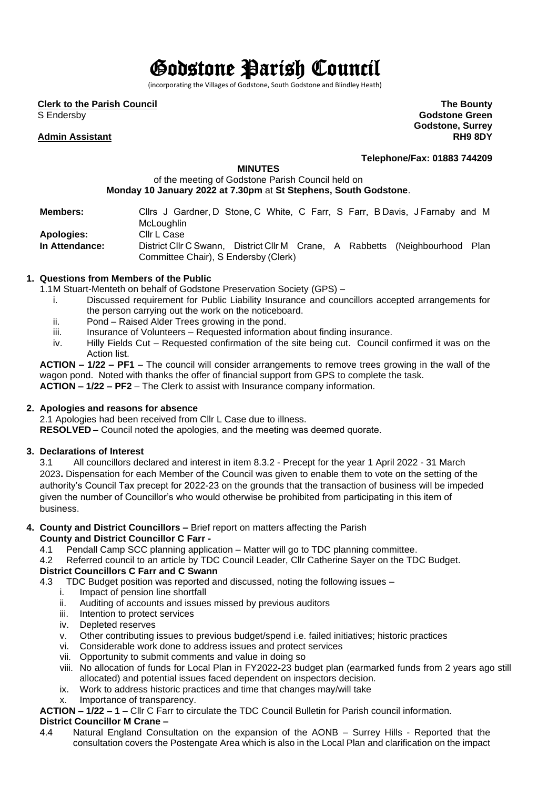# Godstone Parish Council

(incorporating the Villages of Godstone, South Godstone and Blindley Heath)

**Clerk to the Parish Council**

S Endersby

## **Admin Assistant**

**The Bounty Godstone Green Godstone, Surrey RH9 8DY**

**Telephone/Fax: 01883 744209**

## **MINUTES**

## of the meeting of Godstone Parish Council held on **Monday 10 January 2022 at 7.30pm** at **St Stephens, South Godstone**.

| <b>Members:</b> | Clirs J Gardner, D Stone, C White, C Farr, S Farr, B Davis, J Farnaby and M  |
|-----------------|------------------------------------------------------------------------------|
|                 | McLoughlin                                                                   |
| Apologies:      | Cllr L Case                                                                  |
| In Attendance:  | District Cllr C Swann, District Cllr M Crane, A Rabbetts (Neighbourhood Plan |
|                 | Committee Chair), S Endersby (Clerk)                                         |

### **1. Questions from Members of the Public**

- 1.1M Stuart-Menteth on behalf of Godstone Preservation Society (GPS)
	- i. Discussed requirement for Public Liability Insurance and councillors accepted arrangements for the person carrying out the work on the noticeboard.
	- ii. Pond Raised Alder Trees growing in the pond.<br>iii. Insurance of Volunteers Requested information
	- Insurance of Volunteers Requested information about finding insurance.
	- iv. Hilly Fields Cut Requested confirmation of the site being cut. Council confirmed it was on the Action list.

**ACTION – 1/22 – PF1** – The council will consider arrangements to remove trees growing in the wall of the wagon pond. Noted with thanks the offer of financial support from GPS to complete the task. **ACTION – 1/22 – PF2** – The Clerk to assist with Insurance company information.

## **2. Apologies and reasons for absence**

2.1 Apologies had been received from Cllr L Case due to illness.

**RESOLVED** – Council noted the apologies, and the meeting was deemed quorate.  

#### **3. Declarations of Interest**

3.1 All councillors declared and interest in item 8.3.2 - Precept for the year 1 April 2022 - 31 March 2023**.** Dispensation for each Member of the Council was given to enable them to vote on the setting of the authority's Council Tax precept for 2022-23 on the grounds that the transaction of business will be impeded given the number of Councillor's who would otherwise be prohibited from participating in this item of business.

- **4. County and District Councillors –** Brief report on matters affecting the Parish **County and District Councillor C Farr -**
	- 4.1 Pendall Camp SCC planning application Matter will go to TDC planning committee.
	- 4.2 Referred council to an article by TDC Council Leader, Cllr Catherine Sayer on the TDC Budget.

## **District Councillors C Farr and C Swann**

- 4.3 TDC Budget position was reported and discussed, noting the following issues
	- i. Impact of pension line shortfall<br>ii. Auditing of accounts and issues
	- Auditing of accounts and issues missed by previous auditors
	- iii. Intention to protect services
	- iv. Depleted reserves
	- v. Other contributing issues to previous budget/spend i.e. failed initiatives; historic practices
	- vi. Considerable work done to address issues and protect services
	- vii. Opportunity to submit comments and value in doing so
	- viii. No allocation of funds for Local Plan in FY2022-23 budget plan (earmarked funds from 2 years ago still allocated) and potential issues faced dependent on inspectors decision.
	- ix. Work to address historic practices and time that changes may/will take
	- x. Importance of transparency.

**ACTION – 1/22 – 1** – Cllr C Farr to circulate the TDC Council Bulletin for Parish council information.

## **District Councillor M Crane –**

4.4 Natural England Consultation on the expansion of the AONB – Surrey Hills - Reported that the consultation covers the Postengate Area which is also in the Local Plan and clarification on the impact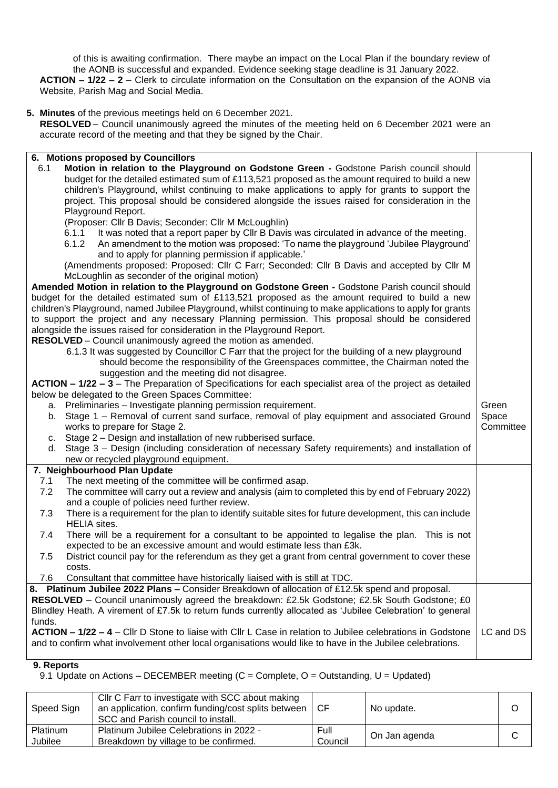of this is awaiting confirmation. There maybe an impact on the Local Plan if the boundary review of the AONB is successful and expanded. Evidence seeking stage deadline is 31 January 2022.

**ACTION – 1/22 – 2** – Clerk to circulate information on the Consultation on the expansion of the AONB via Website, Parish Mag and Social Media.

### **5. Minutes** of the previous meetings held on 6 December 2021.

**RESOLVED** – Council unanimously agreed the minutes of the meeting held on 6 December 2021 were an accurate record of the meeting and that they be signed by the Chair.

#### **6. Motions proposed by Councillors** 6.1 **Motion in relation to the Playground on Godstone Green -** Godstone Parish council should budget for the detailed estimated sum of £113,521 proposed as the amount required to build a new children's Playground, whilst continuing to make applications to apply for grants to support the project. This proposal should be considered alongside the issues raised for consideration in the Playground Report. (Proposer: Cllr B Davis; Seconder: Cllr M McLoughlin) 6.1.1 It was noted that a report paper by Cllr B Davis was circulated in advance of the meeting. 6.1.2 An amendment to the motion was proposed: 'To name the playground 'Jubilee Playground' and to apply for planning permission if applicable.' (Amendments proposed: Proposed: Cllr C Farr; Seconded: Cllr B Davis and accepted by Cllr M McLoughlin as seconder of the original motion) **Amended Motion in relation to the Playground on Godstone Green -** Godstone Parish council should budget for the detailed estimated sum of £113,521 proposed as the amount required to build a new children's Playground, named Jubilee Playground, whilst continuing to make applications to apply for grants to support the project and any necessary Planning permission. This proposal should be considered alongside the issues raised for consideration in the Playground Report. **RESOLVED** – Council unanimously agreed the motion as amended. 6.1.3 It was suggested by Councillor C Farr that the project for the building of a new playground should become the responsibility of the Greenspaces committee, the Chairman noted the suggestion and the meeting did not disagree. **ACTION – 1/22 – 3** – The Preparation of Specifications for each specialist area of the project as detailed below be delegated to the Green Spaces Committee: a. Preliminaries – Investigate planning permission requirement. b. Stage 1 – Removal of current sand surface, removal of play equipment and associated Ground works to prepare for Stage 2. c. Stage 2 – Design and installation of new rubberised surface. d. Stage 3 – Design (including consideration of necessary Safety requirements) and installation of new or recycled playground equipment. Green Space Committee **7. Neighbourhood Plan Update** 7.1 The next meeting of the committee will be confirmed asap. 7.2 The committee will carry out a review and analysis (aim to completed this by end of February 2022) and a couple of policies need further review. 7.3 There is a requirement for the plan to identify suitable sites for future development, this can include HELIA sites. 7.4 There will be a requirement for a consultant to be appointed to legalise the plan. This is not expected to be an excessive amount and would estimate less than £3k. 7.5 District council pay for the referendum as they get a grant from central government to cover these costs. 7.6 Consultant that committee have historically liaised with is still at TDC. **8. Platinum Jubilee 2022 Plans –** Consider Breakdown of allocation of £12.5k spend and proposal. **RESOLVED** – Council unanimously agreed the breakdown: £2.5k Godstone; £2.5k South Godstone; £0 Blindley Heath. A virement of £7.5k to return funds currently allocated as 'Jubilee Celebration' to general funds. **ACTION – 1/22 – 4** – Cllr D Stone to liaise with Cllr L Case in relation to Jubilee celebrations in Godstone and to confirm what involvement other local organisations would like to have in the Jubilee celebrations. LC and DS

#### **9. Reports**

9.1 Update on Actions – DECEMBER meeting  $(C =$  Complete,  $O =$  Outstanding,  $U =$  Updated)

| Speed Sign          | Cllr C Farr to investigate with SCC about making<br>an application, confirm funding/cost splits between<br>SCC and Parish council to install. | . CF            | No update.    |  |
|---------------------|-----------------------------------------------------------------------------------------------------------------------------------------------|-----------------|---------------|--|
| Platinum<br>Jubilee | Platinum Jubilee Celebrations in 2022 -<br>Breakdown by village to be confirmed.                                                              | Full<br>Council | On Jan agenda |  |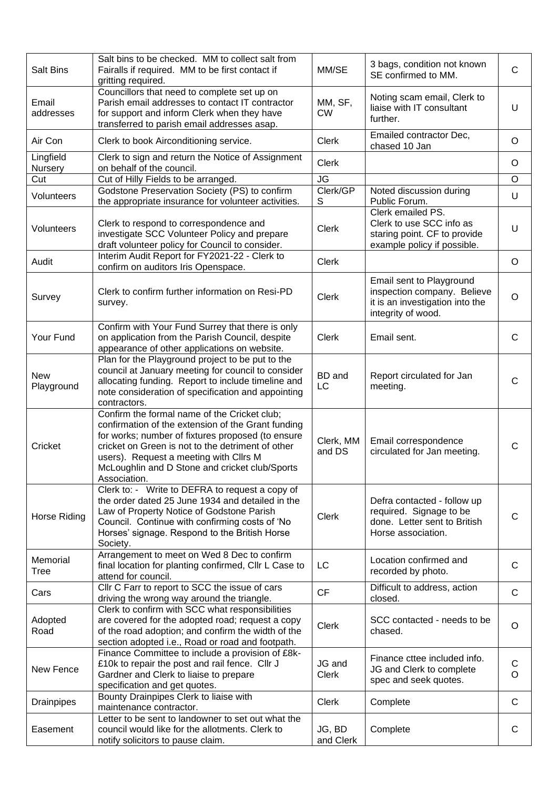| <b>Salt Bins</b>         | Salt bins to be checked. MM to collect salt from<br>Fairalls if required. MM to be first contact if<br>gritting required.                                                                                                                                                                                                | MM/SE                  | 3 bags, condition not known<br>SE confirmed to MM.                                                               | $\mathsf{C}$      |
|--------------------------|--------------------------------------------------------------------------------------------------------------------------------------------------------------------------------------------------------------------------------------------------------------------------------------------------------------------------|------------------------|------------------------------------------------------------------------------------------------------------------|-------------------|
| Email<br>addresses       | Councillors that need to complete set up on<br>Parish email addresses to contact IT contractor<br>MM, SF,<br>for support and inform Clerk when they have<br><b>CW</b><br>transferred to parish email addresses asap.                                                                                                     |                        | Noting scam email, Clerk to<br>liaise with IT consultant<br>further.                                             | U                 |
| Air Con                  | Clerk to book Airconditioning service.                                                                                                                                                                                                                                                                                   | <b>Clerk</b>           | Emailed contractor Dec,<br>chased 10 Jan                                                                         | O                 |
| Lingfield<br>Nursery     | Clerk to sign and return the Notice of Assignment<br>on behalf of the council.                                                                                                                                                                                                                                           | <b>Clerk</b>           |                                                                                                                  | O                 |
| Cut                      | Cut of Hilly Fields to be arranged.                                                                                                                                                                                                                                                                                      | <b>JG</b>              |                                                                                                                  | $\circ$           |
| Volunteers               | Godstone Preservation Society (PS) to confirm<br>the appropriate insurance for volunteer activities.                                                                                                                                                                                                                     | Clerk/GP<br>S          | Noted discussion during<br>Public Forum.                                                                         | U                 |
| Volunteers               | Clerk to respond to correspondence and<br>investigate SCC Volunteer Policy and prepare<br>draft volunteer policy for Council to consider.                                                                                                                                                                                | <b>Clerk</b>           | Clerk emailed PS.<br>Clerk to use SCC info as<br>staring point. CF to provide<br>example policy if possible.     | U                 |
| Audit                    | Interim Audit Report for FY2021-22 - Clerk to<br>confirm on auditors Iris Openspace.                                                                                                                                                                                                                                     | <b>Clerk</b>           |                                                                                                                  | O                 |
| Survey                   | Clerk to confirm further information on Resi-PD<br>survey.                                                                                                                                                                                                                                                               | <b>Clerk</b>           | Email sent to Playground<br>inspection company. Believe<br>it is an investigation into the<br>integrity of wood. | O                 |
| Your Fund                | Confirm with Your Fund Surrey that there is only<br>on application from the Parish Council, despite<br>appearance of other applications on website.                                                                                                                                                                      | <b>Clerk</b>           | Email sent.                                                                                                      | $\mathsf{C}$      |
| <b>New</b><br>Playground | Plan for the Playground project to be put to the<br>council at January meeting for council to consider<br>allocating funding. Report to include timeline and<br>note consideration of specification and appointing<br>contractors.                                                                                       | <b>BD</b> and<br>LC    | Report circulated for Jan<br>meeting.                                                                            | C                 |
| Cricket                  | Confirm the formal name of the Cricket club;<br>confirmation of the extension of the Grant funding<br>for works; number of fixtures proposed (to ensure<br>cricket on Green is not to the detriment of other<br>users). Request a meeting with Cllrs M<br>McLoughlin and D Stone and cricket club/Sports<br>Association. | Clerk, MM<br>and DS    | Email correspondence<br>circulated for Jan meeting.                                                              | C                 |
| Horse Riding             | Clerk to: - Write to DEFRA to request a copy of<br>the order dated 25 June 1934 and detailed in the<br>Law of Property Notice of Godstone Parish<br>Council. Continue with confirming costs of 'No<br>Horses' signage. Respond to the British Horse<br>Society.                                                          | <b>Clerk</b>           | Defra contacted - follow up<br>required. Signage to be<br>done. Letter sent to British<br>Horse association.     | С                 |
| Memorial<br>Tree         | Arrangement to meet on Wed 8 Dec to confirm<br>final location for planting confirmed, Cllr L Case to<br>attend for council.                                                                                                                                                                                              | LC                     | Location confirmed and<br>recorded by photo.                                                                     | C                 |
| Cars                     | Cllr C Farr to report to SCC the issue of cars<br>driving the wrong way around the triangle.                                                                                                                                                                                                                             | <b>CF</b>              | Difficult to address, action<br>closed.                                                                          | $\mathsf{C}$      |
| Adopted<br>Road          | Clerk to confirm with SCC what responsibilities<br>are covered for the adopted road; request a copy<br>of the road adoption; and confirm the width of the<br>section adopted i.e., Road or road and footpath.                                                                                                            | <b>Clerk</b>           | SCC contacted - needs to be<br>chased.                                                                           | O                 |
| New Fence                | Finance Committee to include a provision of £8k-<br>£10k to repair the post and rail fence. Cllr J<br>Gardner and Clerk to liaise to prepare<br>specification and get quotes.                                                                                                                                            | JG and<br><b>Clerk</b> | Finance cttee included info.<br>JG and Clerk to complete<br>spec and seek quotes.                                | $\mathsf{C}$<br>O |
| <b>Drainpipes</b>        | Bounty Drainpipes Clerk to liaise with<br>maintenance contractor.                                                                                                                                                                                                                                                        | <b>Clerk</b>           | Complete                                                                                                         | C                 |
| Easement                 | Letter to be sent to landowner to set out what the<br>council would like for the allotments. Clerk to<br>notify solicitors to pause claim.                                                                                                                                                                               | JG, BD<br>and Clerk    | Complete                                                                                                         | C                 |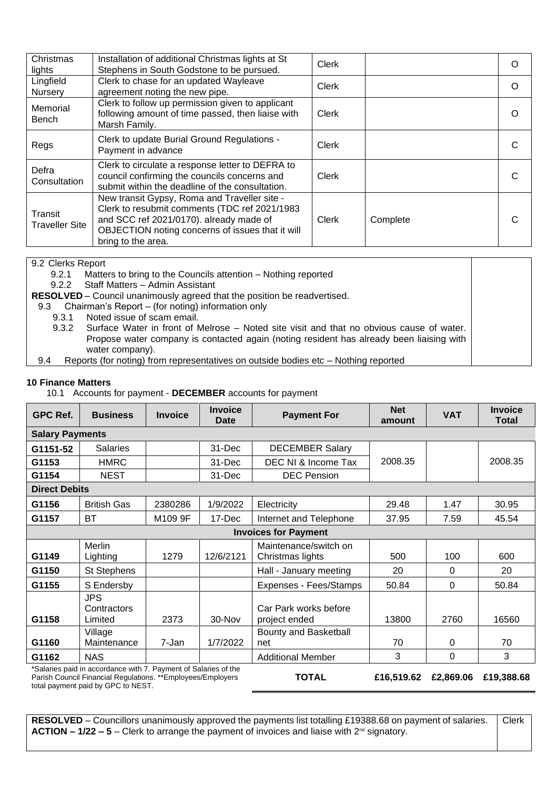| Christmas<br>lights              | Installation of additional Christmas lights at St<br>Stephens in South Godstone to be pursued.                                                                                                                     | <b>Clerk</b> |          | O |
|----------------------------------|--------------------------------------------------------------------------------------------------------------------------------------------------------------------------------------------------------------------|--------------|----------|---|
| Lingfield<br>Nursery             | Clerk to chase for an updated Wayleave<br>agreement noting the new pipe.                                                                                                                                           | Clerk        |          | O |
| Memorial<br>Bench                | Clerk to follow up permission given to applicant<br>following amount of time passed, then liaise with<br>Marsh Family.                                                                                             | Clerk        |          | O |
| Regs                             | Clerk to update Burial Ground Regulations -<br>Payment in advance                                                                                                                                                  | Clerk        |          |   |
| Defra<br>Consultation            | Clerk to circulate a response letter to DEFRA to<br>council confirming the councils concerns and<br>submit within the deadline of the consultation.                                                                | <b>Clerk</b> |          |   |
| Transit<br><b>Traveller Site</b> | New transit Gypsy, Roma and Traveller site -<br>Clerk to resubmit comments (TDC ref 2021/1983<br>and SCC ref 2021/0170). already made of<br>OBJECTION noting concerns of issues that it will<br>bring to the area. | Clerk        | Complete |   |

## 9.2 Clerks Report

9.2.1 Matters to bring to the Councils attention – Nothing reported

9.2.2 Staff Matters – Admin Assistant

**RESOLVED** – Council unanimously agreed that the position be readvertised.

9.3 Chairman's Report – (for noting) information only

9.3.1 Noted issue of scam email.

9.3.2 Surface Water in front of Melrose – Noted site visit and that no obvious cause of water. Propose water company is contacted again (noting resident has already been liaising with water company).

9.4 Reports (for noting) from representatives on outside bodies etc – Nothing reported

## **10 Finance Matters**

10.1 Accounts for payment - **DECEMBER** accounts for payment

| <b>GPC Ref.</b>      | <b>Business</b>                                                                                                                 | <b>Invoice</b> | <b>Invoice</b><br>Date | <b>Payment For</b>                        | <b>Net</b><br>amount | <b>VAT</b> | <b>Invoice</b><br>Total |  |  |  |  |
|----------------------|---------------------------------------------------------------------------------------------------------------------------------|----------------|------------------------|-------------------------------------------|----------------------|------------|-------------------------|--|--|--|--|
|                      | <b>Salary Payments</b>                                                                                                          |                |                        |                                           |                      |            |                         |  |  |  |  |
| G1151-52             | <b>Salaries</b>                                                                                                                 |                | 31-Dec                 | <b>DECEMBER Salary</b>                    |                      |            |                         |  |  |  |  |
| G1153                | <b>HMRC</b>                                                                                                                     |                | 31-Dec                 | DEC NI & Income Tax                       | 2008.35              |            | 2008.35                 |  |  |  |  |
| G1154                | <b>NEST</b>                                                                                                                     |                | 31-Dec                 | <b>DEC Pension</b>                        |                      |            |                         |  |  |  |  |
| <b>Direct Debits</b> |                                                                                                                                 |                |                        |                                           |                      |            |                         |  |  |  |  |
| G1156                | <b>British Gas</b>                                                                                                              | 2380286        | 1/9/2022               | Electricity                               | 29.48                | 1.47       | 30.95                   |  |  |  |  |
| G1157                | BT                                                                                                                              | M109 9F        | 17-Dec                 | Internet and Telephone                    | 37.95                | 7.59       | 45.54                   |  |  |  |  |
|                      |                                                                                                                                 |                |                        | <b>Invoices for Payment</b>               |                      |            |                         |  |  |  |  |
| G1149                | <b>Merlin</b><br>Lighting                                                                                                       | 1279           | 12/6/2121              | Maintenance/switch on<br>Christmas lights | 500                  | 100        | 600                     |  |  |  |  |
| G1150                | St Stephens                                                                                                                     |                |                        | Hall - January meeting                    | 20                   | $\Omega$   | 20                      |  |  |  |  |
| G1155                | S Endersby                                                                                                                      |                |                        | Expenses - Fees/Stamps                    | 50.84                | $\Omega$   | 50.84                   |  |  |  |  |
| G1158                | <b>JPS</b><br>Contractors<br>Limited                                                                                            | 2373           | 30-Nov                 | Car Park works before<br>project ended    | 13800                | 2760       | 16560                   |  |  |  |  |
| G1160                | Village<br>Maintenance                                                                                                          | 7-Jan          | 1/7/2022               | Bounty and Basketball<br>net              | 70                   | 0          | 70                      |  |  |  |  |
| G1162                | <b>NAS</b>                                                                                                                      |                |                        | <b>Additional Member</b>                  | 3                    | 0          | 3                       |  |  |  |  |
|                      | *Salaries paid in accordance with 7. Payment of Salaries of the<br>Parish Council Financial Regulations. ** Employees/Employers |                |                        | <b>TOTAL</b>                              | £16,519.62           | £2,869.06  | £19,388.68              |  |  |  |  |

total payment paid by GPC to NEST.

**RESOLVED** – Councillors unanimously approved the payments list totalling £19388.68 on payment of salaries. **ACTION – 1/22 – 5** – Clerk to arrange the payment of invoices and liaise with 2nd signatory. Clerk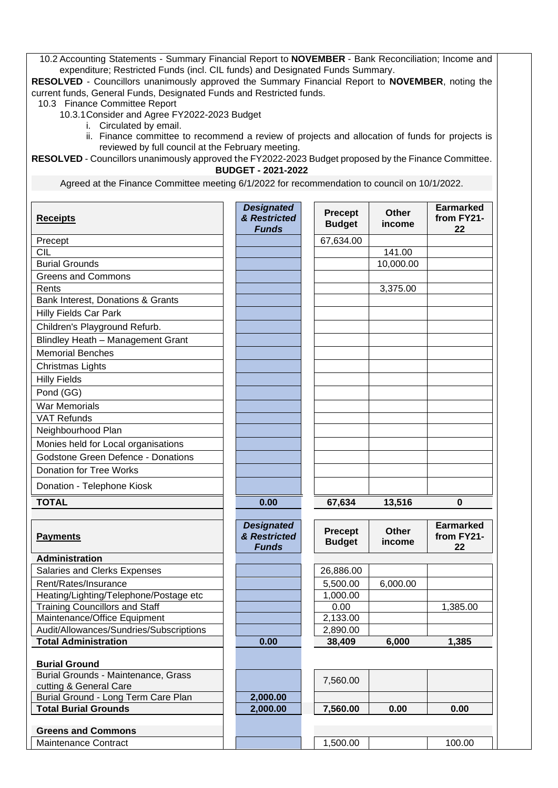10.2 Accounting Statements - Summary Financial Report to **NOVEMBER** - Bank Reconciliation; Income and expenditure; Restricted Funds (incl. CIL funds) and Designated Funds Summary.

**RESOLVED** - Councillors unanimously approved the Summary Financial Report to **NOVEMBER**, noting the current funds, General Funds, Designated Funds and Restricted funds.

10.3 Finance Committee Report

10.3.1Consider and Agree FY2022-2023 Budget

- i. Circulated by email.
- ii. Finance committee to recommend a review of projects and allocation of funds for projects is reviewed by full council at the February meeting.

**RESOLVED** - Councillors unanimously approved the FY2022-2023 Budget proposed by the Finance Committee. **BUDGET - 2021-2022**

Agreed at the Finance Committee meeting 6/1/2022 for recommendation to council on 10/1/2022.

| <b>Receipts</b>                                   | <b>Designated</b><br>& Restricted<br><b>Funds</b> | <b>Precept</b><br><b>Budget</b> | <b>Other</b><br>income | <b>Earmarked</b><br>from FY21-<br>22 |
|---------------------------------------------------|---------------------------------------------------|---------------------------------|------------------------|--------------------------------------|
| Precept                                           |                                                   | 67,634.00                       |                        |                                      |
| <b>CIL</b>                                        |                                                   |                                 | 141.00                 |                                      |
| <b>Burial Grounds</b>                             |                                                   |                                 | 10,000.00              |                                      |
| <b>Greens and Commons</b>                         |                                                   |                                 |                        |                                      |
| Rents                                             |                                                   |                                 | 3,375.00               |                                      |
| Bank Interest, Donations & Grants                 |                                                   |                                 |                        |                                      |
| <b>Hilly Fields Car Park</b>                      |                                                   |                                 |                        |                                      |
| Children's Playground Refurb.                     |                                                   |                                 |                        |                                      |
| Blindley Heath - Management Grant                 |                                                   |                                 |                        |                                      |
| <b>Memorial Benches</b>                           |                                                   |                                 |                        |                                      |
| <b>Christmas Lights</b>                           |                                                   |                                 |                        |                                      |
| <b>Hilly Fields</b>                               |                                                   |                                 |                        |                                      |
| Pond (GG)                                         |                                                   |                                 |                        |                                      |
| <b>War Memorials</b>                              |                                                   |                                 |                        |                                      |
| <b>VAT Refunds</b>                                |                                                   |                                 |                        |                                      |
| Neighbourhood Plan                                |                                                   |                                 |                        |                                      |
| Monies held for Local organisations               |                                                   |                                 |                        |                                      |
| <b>Godstone Green Defence - Donations</b>         |                                                   |                                 |                        |                                      |
| <b>Donation for Tree Works</b>                    |                                                   |                                 |                        |                                      |
| Donation - Telephone Kiosk                        |                                                   |                                 |                        |                                      |
| <b>TOTAL</b>                                      | 0.00                                              | 67,634                          | 13,516                 | 0                                    |
|                                                   |                                                   |                                 |                        | <b>Earmarked</b>                     |
| <b>Payments</b>                                   | <b>Designated</b><br>& Restricted<br><b>Funds</b> | <b>Precept</b><br><b>Budget</b> | <b>Other</b><br>income | from FY21-<br>22                     |
| <b>Administration</b>                             |                                                   |                                 |                        |                                      |
| Salaries and Clerks Expenses                      |                                                   | 26,886.00                       |                        |                                      |
| Rent/Rates/Insurance                              |                                                   | 5,500.00                        | 6,000.00               |                                      |
| Heating/Lighting/Telephone/Postage etc            |                                                   | 1,000.00                        |                        |                                      |
| <b>Training Councillors and Staff</b>             |                                                   | 0.00                            |                        | 1,385.00                             |
| Maintenance/Office Equipment                      |                                                   | 2,133.00                        |                        |                                      |
| Audit/Allowances/Sundries/Subscriptions           |                                                   | 2,890.00                        |                        |                                      |
| <b>Total Administration</b>                       | 0.00                                              | 38,409                          | 6,000                  | 1,385                                |
| <b>Burial Ground</b>                              |                                                   |                                 |                        |                                      |
| Burial Grounds - Maintenance, Grass               |                                                   |                                 |                        |                                      |
| cutting & General Care                            |                                                   | 7,560.00                        |                        |                                      |
| Burial Ground - Long Term Care Plan               | 2,000.00                                          |                                 |                        |                                      |
| <b>Total Burial Grounds</b>                       | 2,000.00                                          | 7,560.00                        | 0.00                   | 0.00                                 |
|                                                   |                                                   |                                 |                        |                                      |
| <b>Greens and Commons</b><br>Maintenance Contract |                                                   | 1,500.00                        |                        | 100.00                               |
|                                                   |                                                   |                                 |                        |                                      |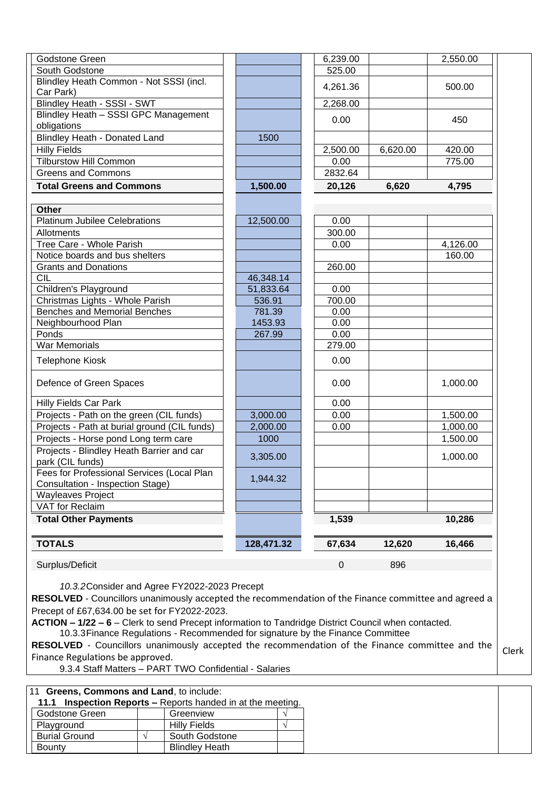| Godstone Green                                                                 |            | 6,239.00         |          | 2,550.00 |
|--------------------------------------------------------------------------------|------------|------------------|----------|----------|
| South Godstone                                                                 |            | 525.00           |          |          |
| Blindley Heath Common - Not SSSI (incl.<br>Car Park)                           |            | 4,261.36         |          | 500.00   |
| Blindley Heath - SSSI - SWT                                                    |            | 2,268.00         |          |          |
| Blindley Heath - SSSI GPC Management<br>obligations                            |            | 0.00             |          | 450      |
| Blindley Heath - Donated Land                                                  | 1500       |                  |          |          |
| <b>Hilly Fields</b>                                                            |            | 2,500.00         | 6,620.00 | 420.00   |
| <b>Tilburstow Hill Common</b>                                                  |            | 0.00             |          | 775.00   |
| <b>Greens and Commons</b>                                                      |            | 2832.64          |          |          |
| <b>Total Greens and Commons</b>                                                | 1,500.00   | 20,126           | 6,620    | 4,795    |
| <b>Other</b>                                                                   |            |                  |          |          |
| <b>Platinum Jubilee Celebrations</b>                                           | 12,500.00  | 0.00             |          |          |
| Allotments                                                                     |            | 300.00           |          |          |
| Tree Care - Whole Parish                                                       |            | 0.00             |          | 4,126.00 |
| Notice boards and bus shelters                                                 |            |                  |          | 160.00   |
| <b>Grants and Donations</b>                                                    |            | 260.00           |          |          |
| <b>CIL</b>                                                                     | 46,348.14  |                  |          |          |
| Children's Playground                                                          | 51,833.64  | 0.00             |          |          |
| Christmas Lights - Whole Parish                                                | 536.91     | 700.00           |          |          |
| <b>Benches and Memorial Benches</b>                                            | 781.39     | 0.00             |          |          |
| Neighbourhood Plan                                                             | 1453.93    | 0.00             |          |          |
| Ponds                                                                          | 267.99     | 0.00             |          |          |
| <b>War Memorials</b>                                                           |            | 279.00           |          |          |
| Telephone Kiosk                                                                |            | 0.00             |          |          |
| Defence of Green Spaces                                                        |            | 0.00             |          | 1,000.00 |
| <b>Hilly Fields Car Park</b>                                                   |            | 0.00             |          |          |
| Projects - Path on the green (CIL funds)                                       | 3,000.00   | 0.00             |          | 1,500.00 |
| Projects - Path at burial ground (CIL funds)                                   | 2,000.00   | 0.00             |          | 1,000.00 |
| Projects - Horse pond Long term care                                           | 1000       |                  |          | 1,500.00 |
| Projects - Blindley Heath Barrier and car<br>park (CIL funds)                  | 3,305.00   |                  |          | 1,000.00 |
| Fees for Professional Services (Local Plan<br>Consultation - Inspection Stage) | 1,944.32   |                  |          |          |
| <b>Wayleaves Project</b>                                                       |            |                  |          |          |
| VAT for Reclaim                                                                |            |                  |          |          |
| <b>Total Other Payments</b>                                                    |            | 1,539            |          | 10,286   |
| <b>TOTALS</b>                                                                  | 128,471.32 | 67,634           | 12,620   | 16,466   |
|                                                                                |            | $\boldsymbol{0}$ | 896      |          |

**RESOLVED** - Councillors unanimously accepted the recommendation of the Finance committee and agreed a Precept of £67,634.00 be set for FY2022-2023.

**ACTION – 1/22 – 6** – Clerk to send Precept information to Tandridge District Council when contacted. 10.3.3Finance Regulations - Recommended for signature by the Finance Committee

**RESOLVED** - Councillors unanimously accepted the recommendation of the Finance committee and the Finance Regulations be approved. Clerk

9.3.4 Staff Matters – PART TWO Confidential - Salaries

|  |  |  | 11 Greens, Commons and Land, to include: |  |  |  |  |
|--|--|--|------------------------------------------|--|--|--|--|
|  |  |  |                                          |  |  |  |  |

| 11.1 Inspection Reports – Reports handed in at the meeting. |  |                       |  |  |  |
|-------------------------------------------------------------|--|-----------------------|--|--|--|
| Godstone Green                                              |  | Greenview             |  |  |  |
| Playground                                                  |  | <b>Hilly Fields</b>   |  |  |  |
| <b>Burial Ground</b>                                        |  | South Godstone        |  |  |  |
| Bounty                                                      |  | <b>Blindley Heath</b> |  |  |  |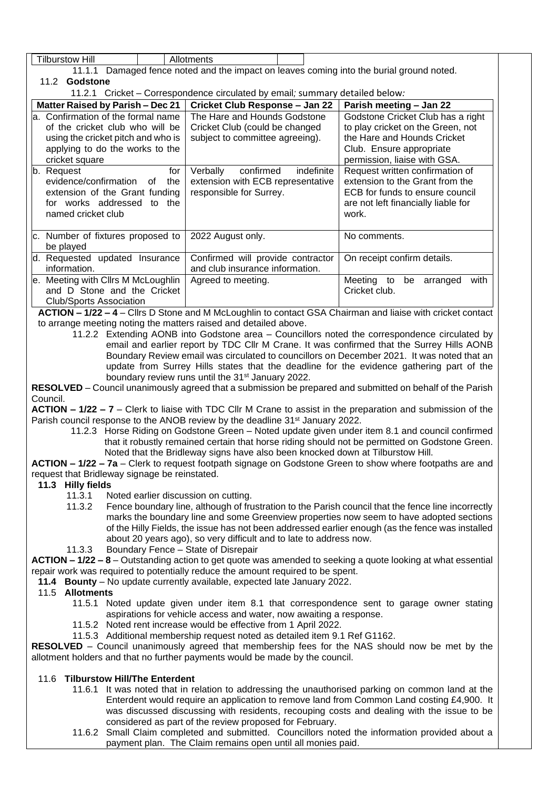| <b>Tilburstow Hill</b>                                                                                                                                                                                                                                                                                                                                                                                                                                                                                                                                                                                                                                                                                                                                                                                                                                                                                                                                                                                                                                                                                                                                                                                                                            | Allotments                                                                                          |                                                                                                                                                                   |  |  |  |  |
|---------------------------------------------------------------------------------------------------------------------------------------------------------------------------------------------------------------------------------------------------------------------------------------------------------------------------------------------------------------------------------------------------------------------------------------------------------------------------------------------------------------------------------------------------------------------------------------------------------------------------------------------------------------------------------------------------------------------------------------------------------------------------------------------------------------------------------------------------------------------------------------------------------------------------------------------------------------------------------------------------------------------------------------------------------------------------------------------------------------------------------------------------------------------------------------------------------------------------------------------------|-----------------------------------------------------------------------------------------------------|-------------------------------------------------------------------------------------------------------------------------------------------------------------------|--|--|--|--|
|                                                                                                                                                                                                                                                                                                                                                                                                                                                                                                                                                                                                                                                                                                                                                                                                                                                                                                                                                                                                                                                                                                                                                                                                                                                   | 11.1.1 Damaged fence noted and the impact on leaves coming into the burial ground noted.            |                                                                                                                                                                   |  |  |  |  |
| 11.2 Godstone                                                                                                                                                                                                                                                                                                                                                                                                                                                                                                                                                                                                                                                                                                                                                                                                                                                                                                                                                                                                                                                                                                                                                                                                                                     |                                                                                                     |                                                                                                                                                                   |  |  |  |  |
|                                                                                                                                                                                                                                                                                                                                                                                                                                                                                                                                                                                                                                                                                                                                                                                                                                                                                                                                                                                                                                                                                                                                                                                                                                                   | 11.2.1 Cricket - Correspondence circulated by email; summary detailed below:                        |                                                                                                                                                                   |  |  |  |  |
| Matter Raised by Parish - Dec 21                                                                                                                                                                                                                                                                                                                                                                                                                                                                                                                                                                                                                                                                                                                                                                                                                                                                                                                                                                                                                                                                                                                                                                                                                  | Cricket Club Response - Jan 22                                                                      | Parish meeting - Jan 22                                                                                                                                           |  |  |  |  |
| a. Confirmation of the formal name<br>of the cricket club who will be<br>using the cricket pitch and who is<br>applying to do the works to the<br>cricket square                                                                                                                                                                                                                                                                                                                                                                                                                                                                                                                                                                                                                                                                                                                                                                                                                                                                                                                                                                                                                                                                                  | The Hare and Hounds Godstone<br>Cricket Club (could be changed<br>subject to committee agreeing).   | Godstone Cricket Club has a right<br>to play cricket on the Green, not<br>the Hare and Hounds Cricket<br>Club. Ensure appropriate<br>permission, liaise with GSA. |  |  |  |  |
| b. Request<br>for<br>evidence/confirmation<br>of<br>the<br>extension of the Grant funding<br>for works addressed to the<br>named cricket club                                                                                                                                                                                                                                                                                                                                                                                                                                                                                                                                                                                                                                                                                                                                                                                                                                                                                                                                                                                                                                                                                                     | confirmed<br>indefinite<br>Verbally<br>extension with ECB representative<br>responsible for Surrey. | Request written confirmation of<br>extension to the Grant from the<br>ECB for funds to ensure council<br>are not left financially liable for<br>work.             |  |  |  |  |
| c. Number of fixtures proposed to<br>be played                                                                                                                                                                                                                                                                                                                                                                                                                                                                                                                                                                                                                                                                                                                                                                                                                                                                                                                                                                                                                                                                                                                                                                                                    | 2022 August only.                                                                                   | No comments.                                                                                                                                                      |  |  |  |  |
| d. Requested updated Insurance<br>information.                                                                                                                                                                                                                                                                                                                                                                                                                                                                                                                                                                                                                                                                                                                                                                                                                                                                                                                                                                                                                                                                                                                                                                                                    | Confirmed will provide contractor<br>and club insurance information.                                | On receipt confirm details.                                                                                                                                       |  |  |  |  |
| e. Meeting with Cllrs M McLoughlin<br>and D Stone and the Cricket<br><b>Club/Sports Association</b>                                                                                                                                                                                                                                                                                                                                                                                                                                                                                                                                                                                                                                                                                                                                                                                                                                                                                                                                                                                                                                                                                                                                               | Agreed to meeting.                                                                                  | Meeting to be arranged with<br>Cricket club.                                                                                                                      |  |  |  |  |
| 11.2.2 Extending AONB into Godstone area - Councillors noted the correspondence circulated by<br>email and earlier report by TDC Cllr M Crane. It was confirmed that the Surrey Hills AONB<br>Boundary Review email was circulated to councillors on December 2021. It was noted that an<br>update from Surrey Hills states that the deadline for the evidence gathering part of the<br>boundary review runs until the 31 <sup>st</sup> January 2022.<br>RESOLVED - Council unanimously agreed that a submission be prepared and submitted on behalf of the Parish<br>Council.<br>$ACTION - 1/22 - 7 - Clerk$ to liaise with TDC CIIr M Crane to assist in the preparation and submission of the<br>Parish council response to the ANOB review by the deadline 31 <sup>st</sup> January 2022.<br>11.2.3 Horse Riding on Godstone Green - Noted update given under item 8.1 and council confirmed<br>that it robustly remained certain that horse riding should not be permitted on Godstone Green.<br>Noted that the Bridleway signs have also been knocked down at Tilburstow Hill.<br>ACTION - 1/22 - 7a - Clerk to request footpath signage on Godstone Green to show where footpaths are and<br>request that Bridleway signage be reinstated. |                                                                                                     |                                                                                                                                                                   |  |  |  |  |
| 11.3 Hilly fields<br>11.3.1<br>Noted earlier discussion on cutting.<br>11.3.2<br>Fence boundary line, although of frustration to the Parish council that the fence line incorrectly<br>marks the boundary line and some Greenview properties now seem to have adopted sections<br>of the Hilly Fields, the issue has not been addressed earlier enough (as the fence was installed<br>about 20 years ago), so very difficult and to late to address now.<br>Boundary Fence - State of Disrepair<br>11.3.3                                                                                                                                                                                                                                                                                                                                                                                                                                                                                                                                                                                                                                                                                                                                         |                                                                                                     |                                                                                                                                                                   |  |  |  |  |
| ACTION - 1/22 - 8 - Outstanding action to get quote was amended to seeking a quote looking at what essential<br>repair work was required to potentially reduce the amount required to be spent.<br>11.4 Bounty - No update currently available, expected late January 2022.<br>11.5 Allotments                                                                                                                                                                                                                                                                                                                                                                                                                                                                                                                                                                                                                                                                                                                                                                                                                                                                                                                                                    |                                                                                                     |                                                                                                                                                                   |  |  |  |  |
| 11.5.1 Noted update given under item 8.1 that correspondence sent to garage owner stating<br>aspirations for vehicle access and water, now awaiting a response.<br>11.5.2 Noted rent increase would be effective from 1 April 2022.<br>11.5.3 Additional membership request noted as detailed item 9.1 Ref G1162.<br><b>RESOLVED</b> – Council unanimously agreed that membership fees for the NAS should now be met by the<br>allotment holders and that no further payments would be made by the council.                                                                                                                                                                                                                                                                                                                                                                                                                                                                                                                                                                                                                                                                                                                                       |                                                                                                     |                                                                                                                                                                   |  |  |  |  |
| 11.6 Tilburstow Hill/The Enterdent<br>11.6.1 It was noted that in relation to addressing the unauthorised parking on common land at the<br>Enterdent would require an application to remove land from Common Land costing £4,900. It<br>was discussed discussing with residents, recouping costs and dealing with the issue to be<br>considered as part of the review proposed for February.                                                                                                                                                                                                                                                                                                                                                                                                                                                                                                                                                                                                                                                                                                                                                                                                                                                      |                                                                                                     |                                                                                                                                                                   |  |  |  |  |

11.6.2 Small Claim completed and submitted. Councillors noted the information provided about a payment plan. The Claim remains open until all monies paid.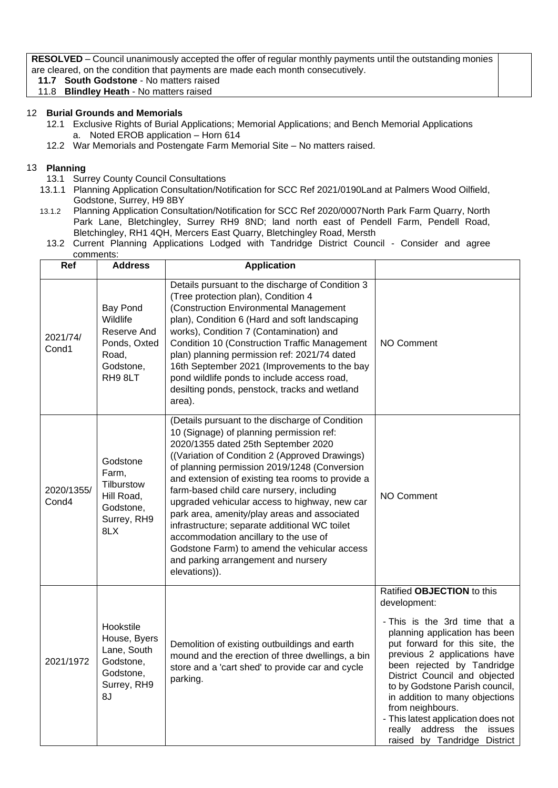**RESOLVED** – Council unanimously accepted the offer of regular monthly payments until the outstanding monies are cleared, on the condition that payments are made each month consecutively.

**11.7 South Godstone** - No matters raised 11.8 **Blindley Heath** - No matters raised

## 12 **Burial Grounds and Memorials**

- 12.1 Exclusive Rights of Burial Applications; Memorial Applications; and Bench Memorial Applications a. Noted EROB application – Horn 614
- 12.2 War Memorials and Postengate Farm Memorial Site No matters raised.

## 13 **Planning**

- 13.1 Surrey County Council Consultations
- 13.1.1 Planning Application Consultation/Notification for SCC Ref 2021/0190Land at Palmers Wood Oilfield, Godstone, Surrey, H9 8BY
- 13.1.2 Planning Application Consultation/Notification for SCC Ref 2020/0007North Park Farm Quarry, North Park Lane, Bletchingley, Surrey RH9 8ND; land north east of Pendell Farm, Pendell Road, Bletchingley, RH1 4QH, Mercers East Quarry, Bletchingley Road, Mersth
	- 13.2 Current Planning Applications Lodged with Tandridge District Council Consider and agree comments:

| Ref                 | <b>Address</b>                                                                          | <b>Application</b>                                                                                                                                                                                                                                                                                                                                                                                                                                                                                                                                                                                                                      |                                                                                                                                                                                                                                                                                                                                                                                                                                                |
|---------------------|-----------------------------------------------------------------------------------------|-----------------------------------------------------------------------------------------------------------------------------------------------------------------------------------------------------------------------------------------------------------------------------------------------------------------------------------------------------------------------------------------------------------------------------------------------------------------------------------------------------------------------------------------------------------------------------------------------------------------------------------------|------------------------------------------------------------------------------------------------------------------------------------------------------------------------------------------------------------------------------------------------------------------------------------------------------------------------------------------------------------------------------------------------------------------------------------------------|
| 2021/74/<br>Cond1   | Bay Pond<br>Wildlife<br>Reserve And<br>Ponds, Oxted<br>Road,<br>Godstone,<br>RH98LT     | Details pursuant to the discharge of Condition 3<br>(Tree protection plan), Condition 4<br>(Construction Environmental Management<br>plan), Condition 6 (Hard and soft landscaping<br>works), Condition 7 (Contamination) and<br>Condition 10 (Construction Traffic Management<br>plan) planning permission ref: 2021/74 dated<br>16th September 2021 (Improvements to the bay<br>pond wildlife ponds to include access road,<br>desilting ponds, penstock, tracks and wetland<br>area).                                                                                                                                                | NO Comment                                                                                                                                                                                                                                                                                                                                                                                                                                     |
| 2020/1355/<br>Cond4 | Godstone<br>Farm,<br>Tilburstow<br>Hill Road,<br>Godstone,<br>Surrey, RH9<br>8LX        | (Details pursuant to the discharge of Condition<br>10 (Signage) of planning permission ref:<br>2020/1355 dated 25th September 2020<br>((Variation of Condition 2 (Approved Drawings)<br>of planning permission 2019/1248 (Conversion<br>and extension of existing tea rooms to provide a<br>farm-based child care nursery, including<br>upgraded vehicular access to highway, new car<br>park area, amenity/play areas and associated<br>infrastructure; separate additional WC toilet<br>accommodation ancillary to the use of<br>Godstone Farm) to amend the vehicular access<br>and parking arrangement and nursery<br>elevations)). | <b>NO Comment</b>                                                                                                                                                                                                                                                                                                                                                                                                                              |
| 2021/1972           | Hookstile<br>House, Byers<br>Lane, South<br>Godstone,<br>Godstone,<br>Surrey, RH9<br>8J | Demolition of existing outbuildings and earth<br>mound and the erection of three dwellings, a bin<br>store and a 'cart shed' to provide car and cycle<br>parking.                                                                                                                                                                                                                                                                                                                                                                                                                                                                       | Ratified OBJECTION to this<br>development:<br>- This is the 3rd time that a<br>planning application has been<br>put forward for this site, the<br>previous 2 applications have<br>been rejected by Tandridge<br>District Council and objected<br>to by Godstone Parish council,<br>in addition to many objections<br>from neighbours.<br>- This latest application does not<br>address the<br>really<br>issues<br>raised by Tandridge District |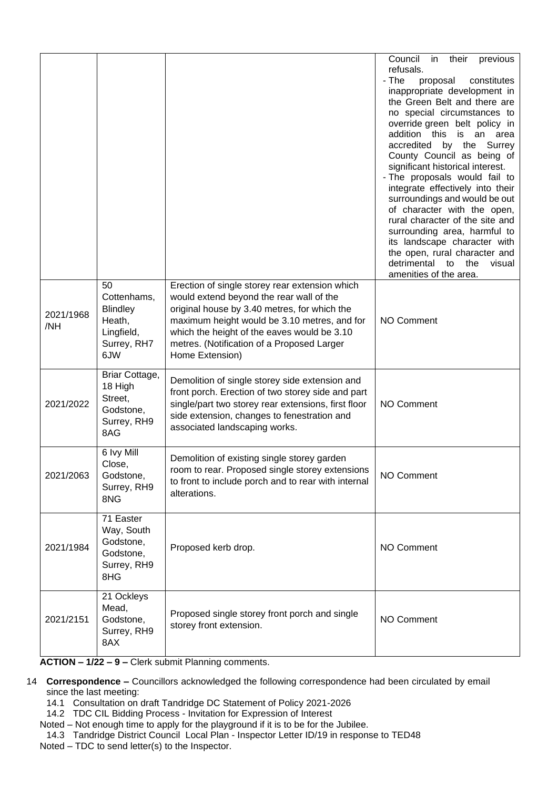|                  |                                                                                    |                                                                                                                                                                                                                                                                                                            | Council<br>their<br>in<br>previous<br>refusals.<br>- The<br>proposal<br>constitutes<br>inappropriate development in<br>the Green Belt and there are<br>no special circumstances to<br>override green belt policy in<br>addition this<br>is an<br>area<br>accredited by the Surrey<br>County Council as being of<br>significant historical interest.<br>- The proposals would fail to<br>integrate effectively into their<br>surroundings and would be out<br>of character with the open,<br>rural character of the site and<br>surrounding area, harmful to<br>its landscape character with<br>the open, rural character and<br>detrimental to the<br>visual<br>amenities of the area. |
|------------------|------------------------------------------------------------------------------------|------------------------------------------------------------------------------------------------------------------------------------------------------------------------------------------------------------------------------------------------------------------------------------------------------------|----------------------------------------------------------------------------------------------------------------------------------------------------------------------------------------------------------------------------------------------------------------------------------------------------------------------------------------------------------------------------------------------------------------------------------------------------------------------------------------------------------------------------------------------------------------------------------------------------------------------------------------------------------------------------------------|
| 2021/1968<br>/NH | 50<br>Cottenhams,<br><b>Blindley</b><br>Heath,<br>Lingfield,<br>Surrey, RH7<br>6JW | Erection of single storey rear extension which<br>would extend beyond the rear wall of the<br>original house by 3.40 metres, for which the<br>maximum height would be 3.10 metres, and for<br>which the height of the eaves would be 3.10<br>metres. (Notification of a Proposed Larger<br>Home Extension) | <b>NO Comment</b>                                                                                                                                                                                                                                                                                                                                                                                                                                                                                                                                                                                                                                                                      |
| 2021/2022        | Briar Cottage,<br>18 High<br>Street,<br>Godstone,<br>Surrey, RH9<br>8AG            | Demolition of single storey side extension and<br>front porch. Erection of two storey side and part<br>single/part two storey rear extensions, first floor<br>side extension, changes to fenestration and<br>associated landscaping works.                                                                 | <b>NO Comment</b>                                                                                                                                                                                                                                                                                                                                                                                                                                                                                                                                                                                                                                                                      |
| 2021/2063        | 6 Ivy Mill<br>Close,<br>Godstone,<br>Surrey, RH9<br>8NG                            | Demolition of existing single storey garden<br>room to rear. Proposed single storey extensions<br>to front to include porch and to rear with internal<br>alterations.                                                                                                                                      | NO Comment                                                                                                                                                                                                                                                                                                                                                                                                                                                                                                                                                                                                                                                                             |
| 2021/1984        | 71 Easter<br>Way, South<br>Godstone,<br>Godstone,<br>Surrey, RH9<br>8HG            | Proposed kerb drop.                                                                                                                                                                                                                                                                                        | NO Comment                                                                                                                                                                                                                                                                                                                                                                                                                                                                                                                                                                                                                                                                             |
| 2021/2151        | 21 Ockleys<br>Mead,<br>Godstone,<br>Surrey, RH9<br>8AX                             | Proposed single storey front porch and single<br>storey front extension.                                                                                                                                                                                                                                   | <b>NO Comment</b>                                                                                                                                                                                                                                                                                                                                                                                                                                                                                                                                                                                                                                                                      |

**ACTION – 1/22 – 9 –** Clerk submit Planning comments.

- 14 **Correspondence –** Councillors acknowledged the following correspondence had been circulated by email since the last meeting:
	- 14.1 Consultation on draft Tandridge DC Statement of Policy 2021-2026
	- 14.2 TDC CIL Bidding Process Invitation for Expression of Interest
	- Noted Not enough time to apply for the playground if it is to be for the Jubilee.
	- 14.3 Tandridge District Council Local Plan Inspector Letter ID/19 in response to TED48
	- Noted TDC to send letter(s) to the Inspector.